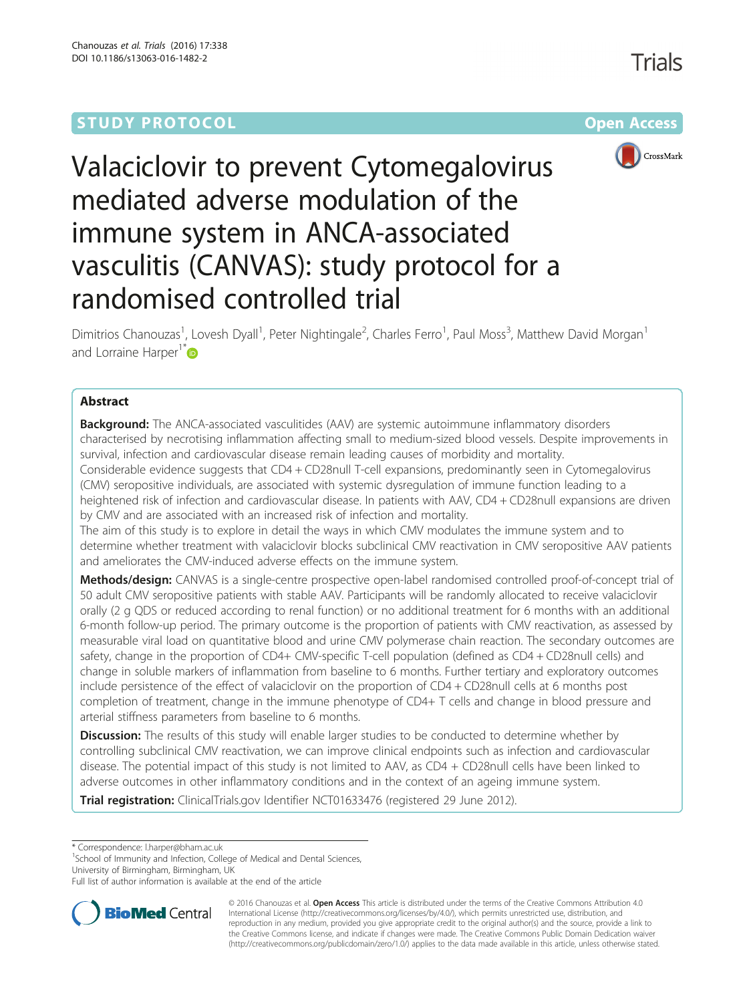## **STUDY PROTOCOL CONSUMING THE RESERVE ACCESS**



# Valaciclovir to prevent Cytomegalovirus mediated adverse modulation of the immune system in ANCA-associated vasculitis (CANVAS): study protocol for a randomised controlled trial

Dimitrios Chanouzas<sup>1</sup>, Lovesh Dyall<sup>1</sup>, Peter Nightingale<sup>2</sup>, Charles Ferro<sup>1</sup>, Paul Moss<sup>3</sup>, Matthew David Morgan<sup>1</sup> and Lorraine Harper<sup>1[\\*](http://orcid.org/0000-0003-1343-9234)</sup> $\bullet$ 

## Abstract

**Background:** The ANCA-associated vasculitides (AAV) are systemic autoimmune inflammatory disorders characterised by necrotising inflammation affecting small to medium-sized blood vessels. Despite improvements in survival, infection and cardiovascular disease remain leading causes of morbidity and mortality. Considerable evidence suggests that CD4 + CD28null T-cell expansions, predominantly seen in Cytomegalovirus (CMV) seropositive individuals, are associated with systemic dysregulation of immune function leading to a heightened risk of infection and cardiovascular disease. In patients with AAV, CD4 + CD28null expansions are driven by CMV and are associated with an increased risk of infection and mortality.

The aim of this study is to explore in detail the ways in which CMV modulates the immune system and to determine whether treatment with valaciclovir blocks subclinical CMV reactivation in CMV seropositive AAV patients and ameliorates the CMV-induced adverse effects on the immune system.

Methods/design: CANVAS is a single-centre prospective open-label randomised controlled proof-of-concept trial of 50 adult CMV seropositive patients with stable AAV. Participants will be randomly allocated to receive valaciclovir orally (2 g QDS or reduced according to renal function) or no additional treatment for 6 months with an additional 6-month follow-up period. The primary outcome is the proportion of patients with CMV reactivation, as assessed by measurable viral load on quantitative blood and urine CMV polymerase chain reaction. The secondary outcomes are safety, change in the proportion of CD4+ CMV-specific T-cell population (defined as CD4 + CD28null cells) and change in soluble markers of inflammation from baseline to 6 months. Further tertiary and exploratory outcomes include persistence of the effect of valaciclovir on the proportion of CD4 + CD28null cells at 6 months post completion of treatment, change in the immune phenotype of CD4+ T cells and change in blood pressure and arterial stiffness parameters from baseline to 6 months.

**Discussion:** The results of this study will enable larger studies to be conducted to determine whether by controlling subclinical CMV reactivation, we can improve clinical endpoints such as infection and cardiovascular disease. The potential impact of this study is not limited to AAV, as CD4 + CD28null cells have been linked to adverse outcomes in other inflammatory conditions and in the context of an ageing immune system.

Trial registration: ClinicalTrials.gov Identifier [NCT01633476](https://clinicaltrials.gov/ct2/show/NCT01633476) (registered 29 June 2012).

\* Correspondence: [l.harper@bham.ac.uk](mailto:l.harper@bham.ac.uk) <sup>1</sup>

<sup>1</sup>School of Immunity and Infection, College of Medical and Dental Sciences, University of Birmingham, Birmingham, UK

Full list of author information is available at the end of the article



© 2016 Chanouzas et al. Open Access This article is distributed under the terms of the Creative Commons Attribution 4.0 International License [\(http://creativecommons.org/licenses/by/4.0/](http://creativecommons.org/licenses/by/4.0/)), which permits unrestricted use, distribution, and reproduction in any medium, provided you give appropriate credit to the original author(s) and the source, provide a link to the Creative Commons license, and indicate if changes were made. The Creative Commons Public Domain Dedication waiver [\(http://creativecommons.org/publicdomain/zero/1.0/](http://creativecommons.org/publicdomain/zero/1.0/)) applies to the data made available in this article, unless otherwise stated.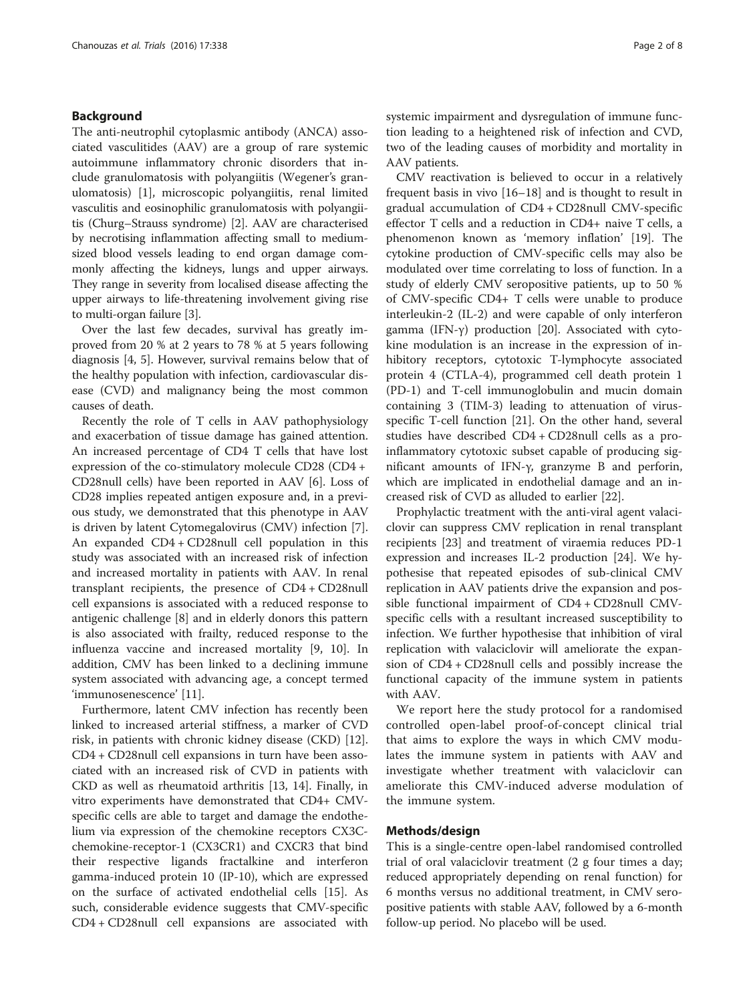## Background

The anti-neutrophil cytoplasmic antibody (ANCA) associated vasculitides (AAV) are a group of rare systemic autoimmune inflammatory chronic disorders that include granulomatosis with polyangiitis (Wegener's granulomatosis) [\[1](#page-7-0)], microscopic polyangiitis, renal limited vasculitis and eosinophilic granulomatosis with polyangiitis (Churg–Strauss syndrome) [\[2](#page-7-0)]. AAV are characterised by necrotising inflammation affecting small to mediumsized blood vessels leading to end organ damage commonly affecting the kidneys, lungs and upper airways. They range in severity from localised disease affecting the upper airways to life-threatening involvement giving rise to multi-organ failure [[3](#page-7-0)].

Over the last few decades, survival has greatly improved from 20 % at 2 years to 78 % at 5 years following diagnosis [[4, 5\]](#page-7-0). However, survival remains below that of the healthy population with infection, cardiovascular disease (CVD) and malignancy being the most common causes of death.

Recently the role of T cells in AAV pathophysiology and exacerbation of tissue damage has gained attention. An increased percentage of CD4 T cells that have lost expression of the co-stimulatory molecule CD28 (CD4 + CD28null cells) have been reported in AAV [[6\]](#page-7-0). Loss of CD28 implies repeated antigen exposure and, in a previous study, we demonstrated that this phenotype in AAV is driven by latent Cytomegalovirus (CMV) infection [\[7](#page-7-0)]. An expanded CD4 + CD28null cell population in this study was associated with an increased risk of infection and increased mortality in patients with AAV. In renal transplant recipients, the presence of CD4 + CD28null cell expansions is associated with a reduced response to antigenic challenge [\[8](#page-7-0)] and in elderly donors this pattern is also associated with frailty, reduced response to the influenza vaccine and increased mortality [[9, 10\]](#page-7-0). In addition, CMV has been linked to a declining immune system associated with advancing age, a concept termed 'immunosenescence' [\[11](#page-7-0)].

Furthermore, latent CMV infection has recently been linked to increased arterial stiffness, a marker of CVD risk, in patients with chronic kidney disease (CKD) [\[12](#page-7-0)]. CD4 + CD28null cell expansions in turn have been associated with an increased risk of CVD in patients with CKD as well as rheumatoid arthritis [\[13, 14\]](#page-7-0). Finally, in vitro experiments have demonstrated that CD4+ CMVspecific cells are able to target and damage the endothelium via expression of the chemokine receptors CX3Cchemokine-receptor-1 (CX3CR1) and CXCR3 that bind their respective ligands fractalkine and interferon gamma-induced protein 10 (IP-10), which are expressed on the surface of activated endothelial cells [[15\]](#page-7-0). As such, considerable evidence suggests that CMV-specific CD4 + CD28null cell expansions are associated with systemic impairment and dysregulation of immune function leading to a heightened risk of infection and CVD, two of the leading causes of morbidity and mortality in AAV patients.

CMV reactivation is believed to occur in a relatively frequent basis in vivo [[16](#page-7-0)–[18](#page-7-0)] and is thought to result in gradual accumulation of CD4 + CD28null CMV-specific effector T cells and a reduction in CD4+ naive T cells, a phenomenon known as 'memory inflation' [\[19\]](#page-7-0). The cytokine production of CMV-specific cells may also be modulated over time correlating to loss of function. In a study of elderly CMV seropositive patients, up to 50 % of CMV-specific CD4+ T cells were unable to produce interleukin-2 (IL-2) and were capable of only interferon gamma (IFN-γ) production [\[20](#page-7-0)]. Associated with cytokine modulation is an increase in the expression of inhibitory receptors, cytotoxic T-lymphocyte associated protein 4 (CTLA-4), programmed cell death protein 1 (PD-1) and T-cell immunoglobulin and mucin domain containing 3 (TIM-3) leading to attenuation of virusspecific T-cell function [[21\]](#page-7-0). On the other hand, several studies have described CD4 + CD28null cells as a proinflammatory cytotoxic subset capable of producing significant amounts of IFN-γ, granzyme B and perforin, which are implicated in endothelial damage and an increased risk of CVD as alluded to earlier [\[22](#page-7-0)].

Prophylactic treatment with the anti-viral agent valaciclovir can suppress CMV replication in renal transplant recipients [[23](#page-7-0)] and treatment of viraemia reduces PD-1 expression and increases IL-2 production [\[24\]](#page-7-0). We hypothesise that repeated episodes of sub-clinical CMV replication in AAV patients drive the expansion and possible functional impairment of CD4 + CD28null CMVspecific cells with a resultant increased susceptibility to infection. We further hypothesise that inhibition of viral replication with valaciclovir will ameliorate the expansion of CD4 + CD28null cells and possibly increase the functional capacity of the immune system in patients with AAV.

We report here the study protocol for a randomised controlled open-label proof-of-concept clinical trial that aims to explore the ways in which CMV modulates the immune system in patients with AAV and investigate whether treatment with valaciclovir can ameliorate this CMV-induced adverse modulation of the immune system.

#### Methods/design

This is a single-centre open-label randomised controlled trial of oral valaciclovir treatment (2 g four times a day; reduced appropriately depending on renal function) for 6 months versus no additional treatment, in CMV seropositive patients with stable AAV, followed by a 6-month follow-up period. No placebo will be used.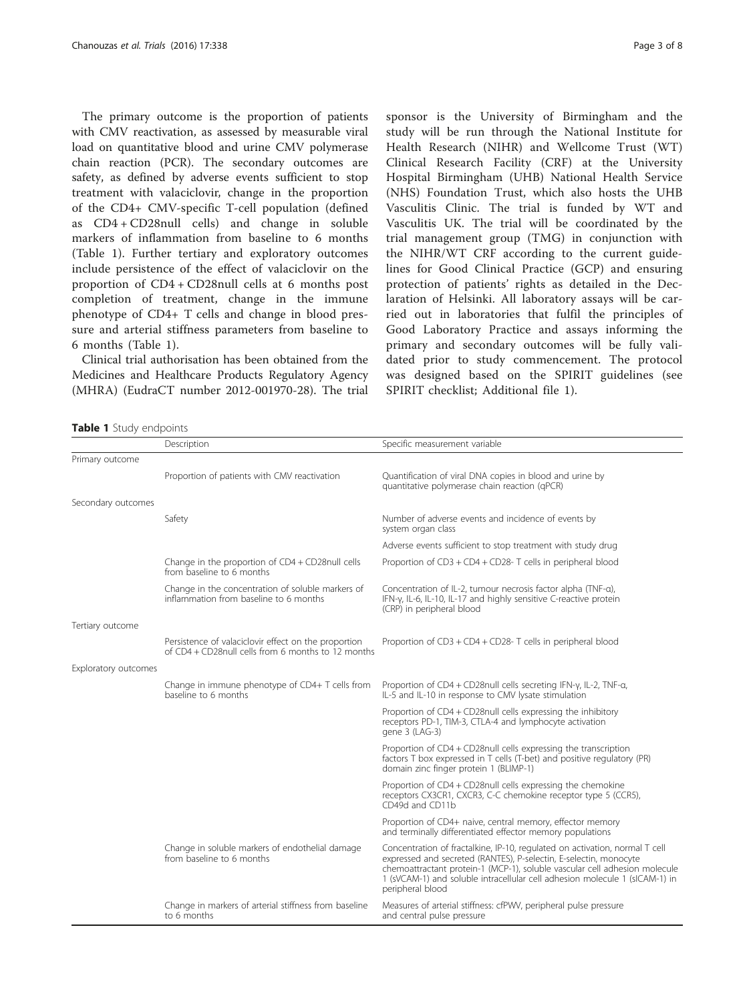<span id="page-2-0"></span>The primary outcome is the proportion of patients with CMV reactivation, as assessed by measurable viral load on quantitative blood and urine CMV polymerase chain reaction (PCR). The secondary outcomes are safety, as defined by adverse events sufficient to stop treatment with valaciclovir, change in the proportion of the CD4+ CMV-specific T-cell population (defined as CD4 + CD28null cells) and change in soluble markers of inflammation from baseline to 6 months (Table 1). Further tertiary and exploratory outcomes include persistence of the effect of valaciclovir on the proportion of CD4 + CD28null cells at 6 months post completion of treatment, change in the immune phenotype of CD4+ T cells and change in blood pressure and arterial stiffness parameters from baseline to 6 months (Table 1).

Clinical trial authorisation has been obtained from the Medicines and Healthcare Products Regulatory Agency (MHRA) (EudraCT number 2012-001970-28). The trial

Table 1 Study endpoints

sponsor is the University of Birmingham and the study will be run through the National Institute for Health Research (NIHR) and Wellcome Trust (WT) Clinical Research Facility (CRF) at the University Hospital Birmingham (UHB) National Health Service (NHS) Foundation Trust, which also hosts the UHB Vasculitis Clinic. The trial is funded by WT and Vasculitis UK. The trial will be coordinated by the trial management group (TMG) in conjunction with the NIHR/WT CRF according to the current guidelines for Good Clinical Practice (GCP) and ensuring protection of patients' rights as detailed in the Declaration of Helsinki. All laboratory assays will be carried out in laboratories that fulfil the principles of Good Laboratory Practice and assays informing the primary and secondary outcomes will be fully validated prior to study commencement. The protocol was designed based on the SPIRIT guidelines (see SPIRIT checklist; Additional file [1](#page-6-0)).

|                      | Description                                                                                                | Specific measurement variable                                                                                                                                                                                                                                                                                                     |  |  |  |  |
|----------------------|------------------------------------------------------------------------------------------------------------|-----------------------------------------------------------------------------------------------------------------------------------------------------------------------------------------------------------------------------------------------------------------------------------------------------------------------------------|--|--|--|--|
| Primary outcome      |                                                                                                            |                                                                                                                                                                                                                                                                                                                                   |  |  |  |  |
|                      | Proportion of patients with CMV reactivation                                                               | Quantification of viral DNA copies in blood and urine by<br>quantitative polymerase chain reaction (qPCR)                                                                                                                                                                                                                         |  |  |  |  |
| Secondary outcomes   |                                                                                                            |                                                                                                                                                                                                                                                                                                                                   |  |  |  |  |
|                      | Safety                                                                                                     | Number of adverse events and incidence of events by<br>system organ class                                                                                                                                                                                                                                                         |  |  |  |  |
|                      |                                                                                                            | Adverse events sufficient to stop treatment with study drug                                                                                                                                                                                                                                                                       |  |  |  |  |
|                      | Change in the proportion of CD4 + CD28null cells<br>from baseline to 6 months                              | Proportion of CD3 + CD4 + CD28- T cells in peripheral blood                                                                                                                                                                                                                                                                       |  |  |  |  |
|                      | Change in the concentration of soluble markers of<br>inflammation from baseline to 6 months                | Concentration of IL-2, tumour necrosis factor alpha (TNF-a),<br>IFN-y, IL-6, IL-10, IL-17 and highly sensitive C-reactive protein<br>(CRP) in peripheral blood                                                                                                                                                                    |  |  |  |  |
| Tertiary outcome     |                                                                                                            |                                                                                                                                                                                                                                                                                                                                   |  |  |  |  |
|                      | Persistence of valaciclovir effect on the proportion<br>of CD4 + CD28null cells from 6 months to 12 months | Proportion of CD3 + CD4 + CD28- T cells in peripheral blood                                                                                                                                                                                                                                                                       |  |  |  |  |
| Exploratory outcomes |                                                                                                            |                                                                                                                                                                                                                                                                                                                                   |  |  |  |  |
|                      | Change in immune phenotype of CD4+ T cells from<br>baseline to 6 months                                    | Proportion of CD4 + CD28null cells secreting IFN-y, IL-2, TNF-a,<br>IL-5 and IL-10 in response to CMV lysate stimulation                                                                                                                                                                                                          |  |  |  |  |
|                      |                                                                                                            | Proportion of CD4 + CD28null cells expressing the inhibitory<br>receptors PD-1, TIM-3, CTLA-4 and lymphocyte activation<br>gene 3 (LAG-3)                                                                                                                                                                                         |  |  |  |  |
|                      |                                                                                                            | Proportion of CD4 + CD28null cells expressing the transcription<br>factors T box expressed in T cells (T-bet) and positive regulatory (PR)<br>domain zinc finger protein 1 (BLIMP-1)                                                                                                                                              |  |  |  |  |
|                      |                                                                                                            | Proportion of CD4 + CD28null cells expressing the chemokine<br>receptors CX3CR1, CXCR3, C-C chemokine receptor type 5 (CCR5),<br>CD49d and CD11b                                                                                                                                                                                  |  |  |  |  |
|                      |                                                                                                            | Proportion of CD4+ naive, central memory, effector memory<br>and terminally differentiated effector memory populations                                                                                                                                                                                                            |  |  |  |  |
|                      | Change in soluble markers of endothelial damage<br>from baseline to 6 months                               | Concentration of fractalkine, IP-10, regulated on activation, normal T cell<br>expressed and secreted (RANTES), P-selectin, E-selectin, monocyte<br>chemoattractant protein-1 (MCP-1), soluble vascular cell adhesion molecule<br>1 (sVCAM-1) and soluble intracellular cell adhesion molecule 1 (sICAM-1) in<br>peripheral blood |  |  |  |  |
|                      | Change in markers of arterial stiffness from baseline<br>to 6 months                                       | Measures of arterial stiffness: cfPWV, peripheral pulse pressure<br>and central pulse pressure                                                                                                                                                                                                                                    |  |  |  |  |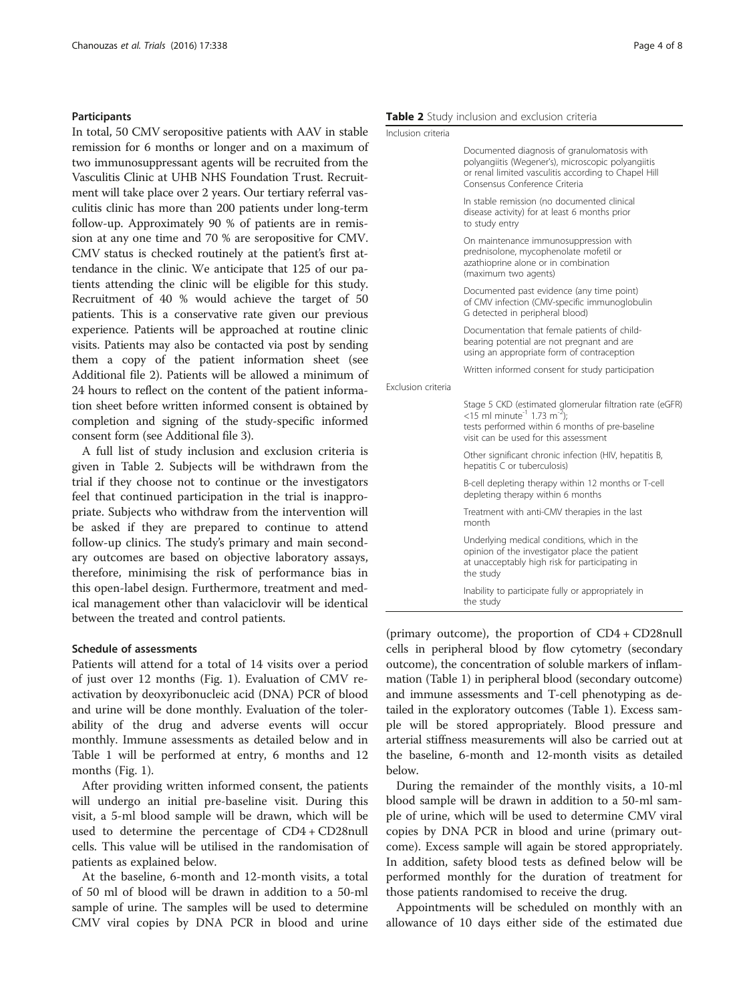## Participants

In total, 50 CMV seropositive patients with AAV in s remission for 6 months or longer and on a maximum two immunosuppressant agents will be recruited from Vasculitis Clinic at UHB NHS Foundation Trust. Req ment will take place over 2 years. Our tertiary referral culitis clinic has more than 200 patients under longfollow-up. Approximately 90  $%$  of patients are in remember sion at any one time and 70 % are seropositive for C CMV status is checked routinely at the patient's firtendance in the clinic. We anticipate that 125 of ou tients attending the clinic will be eligible for this s Recruitment of  $40%$  would achieve the target of patients. This is a conservative rate given our pre experience. Patients will be approached at routine visits. Patients may also be contacted via post by ser them a copy of the patient information sheet Additional file [2\)](#page-6-0). Patients will be allowed a minimum 24 hours to reflect on the content of the patient information sheet before written informed consent is obtained completion and signing of the study-specific info consent form (see Additional file [3](#page-6-0)).

A full list of study inclusion and exclusion crite given in Table 2. Subjects will be withdrawn from trial if they choose not to continue or the investig feel that continued participation in the trial is inap priate. Subjects who withdraw from the intervention be asked if they are prepared to continue to a follow-up clinics. The study's primary and main sec ary outcomes are based on objective laboratory as therefore, minimising the risk of performance bias this open-label design. Furthermore, treatment and ical management other than valaciclovir will be ider between the treated and control patients.

## Schedule of assessments

Patients will attend for a total of 14 visits over a period of just over 12 months (Fig. [1](#page-4-0)). Evaluation of CMV reactivation by deoxyribonucleic acid (DNA) PCR of blood and urine will be done monthly. Evaluation of the tolerability of the drug and adverse events will occur monthly. Immune assessments as detailed below and in Table [1](#page-2-0) will be performed at entry, 6 months and 12 months (Fig. [1](#page-4-0)).

After providing written informed consent, the patients will undergo an initial pre-baseline visit. During this visit, a 5-ml blood sample will be drawn, which will be used to determine the percentage of CD4 + CD28null cells. This value will be utilised in the randomisation of patients as explained below.

At the baseline, 6-month and 12-month visits, a total of 50 ml of blood will be drawn in addition to a 50-ml sample of urine. The samples will be used to determine CMV viral copies by DNA PCR in blood and urine

#### Table 2 Study inclusion and exclusion criteria

|                    | r blaay merasion and excrasion entend                                                                                                                                                                       |
|--------------------|-------------------------------------------------------------------------------------------------------------------------------------------------------------------------------------------------------------|
| Inclusion criteria |                                                                                                                                                                                                             |
|                    | Documented diagnosis of granulomatosis with<br>polyangiitis (Wegener's), microscopic polyangiitis<br>or renal limited vasculitis according to Chapel Hill<br>Consensus Conference Criteria                  |
|                    | In stable remission (no documented clinical<br>disease activity) for at least 6 months prior<br>to study entry                                                                                              |
|                    | On maintenance immunosuppression with<br>prednisolone, mycophenolate mofetil or<br>azathioprine alone or in combination<br>(maximum two agents)                                                             |
|                    | Documented past evidence (any time point)<br>of CMV infection (CMV-specific immunoglobulin<br>G detected in peripheral blood)                                                                               |
|                    | Documentation that female patients of child-<br>bearing potential are not pregnant and are<br>using an appropriate form of contraception                                                                    |
|                    | Written informed consent for study participation                                                                                                                                                            |
| Exclusion criteria |                                                                                                                                                                                                             |
|                    | Stage 5 CKD (estimated glomerular filtration rate (eGFR)<br><15 ml minute <sup>-1</sup> 1.73 m <sup>-2</sup> );<br>tests performed within 6 months of pre-baseline<br>visit can be used for this assessment |
|                    | Other significant chronic infection (HIV, hepatitis B,<br>hepatitis C or tuberculosis)                                                                                                                      |
|                    | B-cell depleting therapy within 12 months or T-cell<br>depleting therapy within 6 months                                                                                                                    |
|                    | Treatment with anti-CMV therapies in the last<br>month                                                                                                                                                      |
|                    | Underlying medical conditions, which in the<br>opinion of the investigator place the patient<br>at unacceptably high risk for participating in<br>the study                                                 |
|                    | Inability to participate fully or appropriately in<br>the study                                                                                                                                             |

(primary outcome), the proportion of CD4 + CD28null cells in peripheral blood by flow cytometry (secondary outcome), the concentration of soluble markers of inflammation (Table [1\)](#page-2-0) in peripheral blood (secondary outcome) and immune assessments and T-cell phenotyping as detailed in the exploratory outcomes (Table [1](#page-2-0)). Excess sample will be stored appropriately. Blood pressure and arterial stiffness measurements will also be carried out at the baseline, 6-month and 12-month visits as detailed below.

During the remainder of the monthly visits, a 10-ml blood sample will be drawn in addition to a 50-ml sample of urine, which will be used to determine CMV viral copies by DNA PCR in blood and urine (primary outcome). Excess sample will again be stored appropriately. In addition, safety blood tests as defined below will be performed monthly for the duration of treatment for those patients randomised to receive the drug.

Appointments will be scheduled on monthly with an allowance of 10 days either side of the estimated due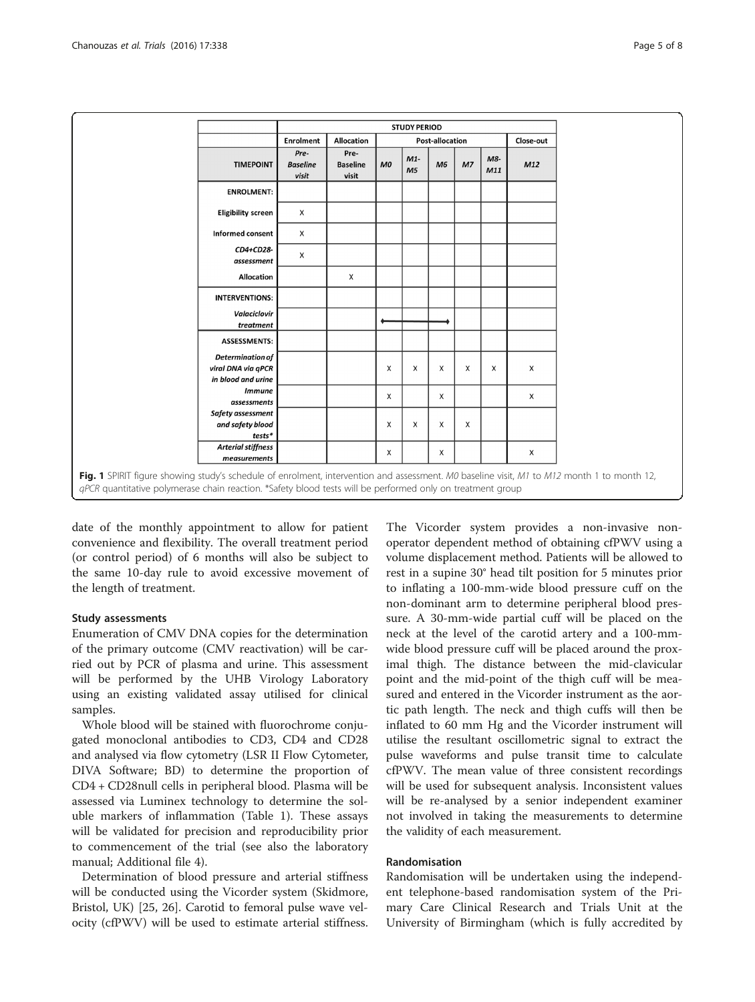<span id="page-4-0"></span>

|                                                                     | <b>STUDY PERIOD</b>              |                                  |                           |                         |    |                |              |     |
|---------------------------------------------------------------------|----------------------------------|----------------------------------|---------------------------|-------------------------|----|----------------|--------------|-----|
|                                                                     | <b>Enrolment</b>                 | <b>Allocation</b>                | <b>Post-allocation</b>    |                         |    |                | Close-out    |     |
| <b>TIMEPOINT</b>                                                    | Pre-<br><b>Baseline</b><br>visit | Pre-<br><b>Baseline</b><br>visit | <b>MO</b>                 | $M1-$<br>M <sub>5</sub> | M6 | M <sub>7</sub> | $M8-$<br>M11 | M12 |
| <b>ENROLMENT:</b>                                                   |                                  |                                  |                           |                         |    |                |              |     |
| <b>Eligibility screen</b>                                           | X                                |                                  |                           |                         |    |                |              |     |
| <b>Informed consent</b>                                             | X                                |                                  |                           |                         |    |                |              |     |
| CD4+CD28-<br>assessment                                             | X                                |                                  |                           |                         |    |                |              |     |
| <b>Allocation</b>                                                   |                                  | X                                |                           |                         |    |                |              |     |
| <b>INTERVENTIONS:</b>                                               |                                  |                                  |                           |                         |    |                |              |     |
| <b>Valaciclovir</b><br>treatment                                    |                                  |                                  |                           |                         |    |                |              |     |
| <b>ASSESSMENTS:</b>                                                 |                                  |                                  |                           |                         |    |                |              |     |
| <b>Determination of</b><br>viral DNA via qPCR<br>in blood and urine |                                  |                                  | X                         | Х                       | X  | X              | X            | X   |
| <b>Immune</b><br>assessments                                        |                                  |                                  | X                         |                         | X  |                |              | X   |
| Safety assessment<br>and safety blood<br>tests*                     |                                  |                                  | X                         | X                       | X  | X              |              |     |
| <b>Arterial stiffness</b><br>measurements                           |                                  |                                  | $\boldsymbol{\mathsf{x}}$ |                         | X  |                |              | Х   |

date of the monthly appointment to allow for patient convenience and flexibility. The overall treatment period (or control period) of 6 months will also be subject to the same 10-day rule to avoid excessive movement of the length of treatment.

#### Study assessments

Enumeration of CMV DNA copies for the determination of the primary outcome (CMV reactivation) will be carried out by PCR of plasma and urine. This assessment will be performed by the UHB Virology Laboratory using an existing validated assay utilised for clinical samples.

Whole blood will be stained with fluorochrome conjugated monoclonal antibodies to CD3, CD4 and CD28 and analysed via flow cytometry (LSR II Flow Cytometer, DIVA Software; BD) to determine the proportion of CD4 + CD28null cells in peripheral blood. Plasma will be assessed via Luminex technology to determine the soluble markers of inflammation (Table [1\)](#page-2-0). These assays will be validated for precision and reproducibility prior to commencement of the trial (see also the laboratory manual; Additional file [4](#page-6-0)).

Determination of blood pressure and arterial stiffness will be conducted using the Vicorder system (Skidmore, Bristol, UK) [\[25](#page-7-0), [26\]](#page-7-0). Carotid to femoral pulse wave velocity (cfPWV) will be used to estimate arterial stiffness.

The Vicorder system provides a non-invasive nonoperator dependent method of obtaining cfPWV using a volume displacement method. Patients will be allowed to rest in a supine 30° head tilt position for 5 minutes prior to inflating a 100-mm-wide blood pressure cuff on the non-dominant arm to determine peripheral blood pressure. A 30-mm-wide partial cuff will be placed on the neck at the level of the carotid artery and a 100-mmwide blood pressure cuff will be placed around the proximal thigh. The distance between the mid-clavicular point and the mid-point of the thigh cuff will be measured and entered in the Vicorder instrument as the aortic path length. The neck and thigh cuffs will then be inflated to 60 mm Hg and the Vicorder instrument will utilise the resultant oscillometric signal to extract the pulse waveforms and pulse transit time to calculate cfPWV. The mean value of three consistent recordings will be used for subsequent analysis. Inconsistent values will be re-analysed by a senior independent examiner not involved in taking the measurements to determine the validity of each measurement.

## Randomisation

Randomisation will be undertaken using the independent telephone-based randomisation system of the Primary Care Clinical Research and Trials Unit at the University of Birmingham (which is fully accredited by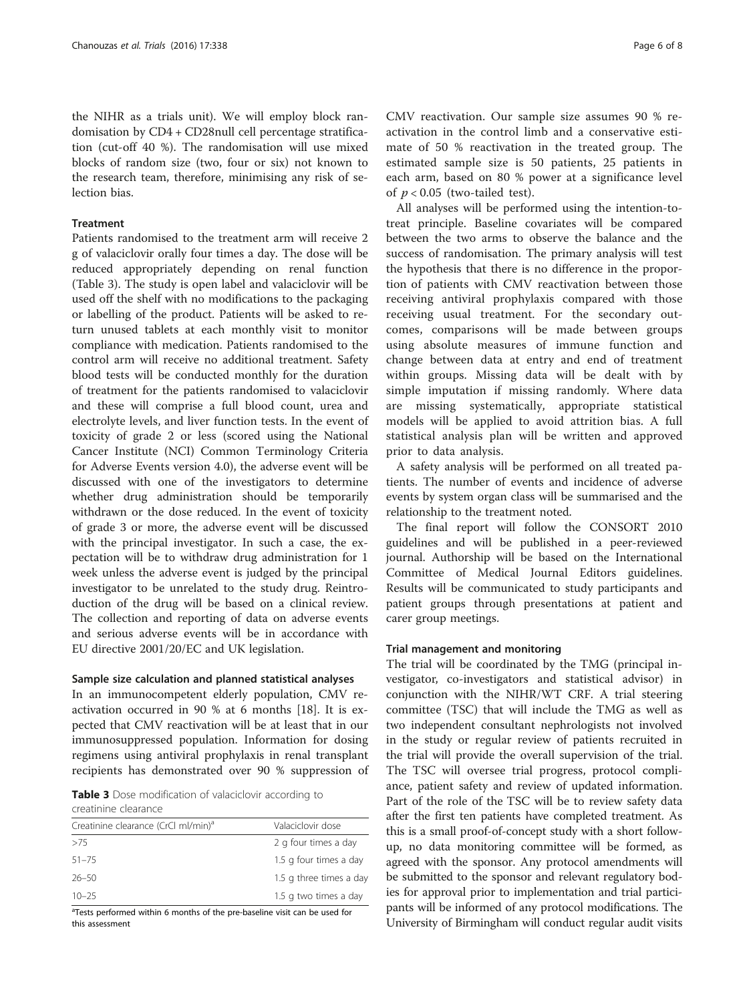the NIHR as a trials unit). We will employ block randomisation by CD4 + CD28null cell percentage stratification (cut-off 40 %). The randomisation will use mixed blocks of random size (two, four or six) not known to the research team, therefore, minimising any risk of selection bias.

#### Treatment

Patients randomised to the treatment arm will receive 2 g of valaciclovir orally four times a day. The dose will be reduced appropriately depending on renal function (Table 3). The study is open label and valaciclovir will be used off the shelf with no modifications to the packaging or labelling of the product. Patients will be asked to return unused tablets at each monthly visit to monitor compliance with medication. Patients randomised to the control arm will receive no additional treatment. Safety blood tests will be conducted monthly for the duration of treatment for the patients randomised to valaciclovir and these will comprise a full blood count, urea and electrolyte levels, and liver function tests. In the event of toxicity of grade 2 or less (scored using the National Cancer Institute (NCI) Common Terminology Criteria for Adverse Events version 4.0), the adverse event will be discussed with one of the investigators to determine whether drug administration should be temporarily withdrawn or the dose reduced. In the event of toxicity of grade 3 or more, the adverse event will be discussed with the principal investigator. In such a case, the expectation will be to withdraw drug administration for 1 week unless the adverse event is judged by the principal investigator to be unrelated to the study drug. Reintroduction of the drug will be based on a clinical review. The collection and reporting of data on adverse events and serious adverse events will be in accordance with EU directive 2001/20/EC and UK legislation.

## Sample size calculation and planned statistical analyses

In an immunocompetent elderly population, CMV reactivation occurred in 90 % at 6 months [\[18](#page-7-0)]. It is expected that CMV reactivation will be at least that in our immunosuppressed population. Information for dosing regimens using antiviral prophylaxis in renal transplant recipients has demonstrated over 90 % suppression of

Table 3 Dose modification of valaciclovir according to creatinine clearance

| Creatinine clearance (CrCl ml/min) <sup>a</sup> | Valaciclovir dose       |
|-------------------------------------------------|-------------------------|
| >75                                             | 2 g four times a day    |
| $51 - 75$                                       | 1.5 g four times a day  |
| $26 - 50$                                       | 1.5 g three times a day |
| $10 - 25$                                       | 1.5 g two times a day   |

<sup>a</sup>Tests performed within 6 months of the pre-baseline visit can be used for this assessment

CMV reactivation. Our sample size assumes 90 % reactivation in the control limb and a conservative estimate of 50 % reactivation in the treated group. The estimated sample size is 50 patients, 25 patients in each arm, based on 80 % power at a significance level of  $p < 0.05$  (two-tailed test).

All analyses will be performed using the intention-totreat principle. Baseline covariates will be compared between the two arms to observe the balance and the success of randomisation. The primary analysis will test the hypothesis that there is no difference in the proportion of patients with CMV reactivation between those receiving antiviral prophylaxis compared with those receiving usual treatment. For the secondary outcomes, comparisons will be made between groups using absolute measures of immune function and change between data at entry and end of treatment within groups. Missing data will be dealt with by simple imputation if missing randomly. Where data are missing systematically, appropriate statistical models will be applied to avoid attrition bias. A full statistical analysis plan will be written and approved prior to data analysis.

A safety analysis will be performed on all treated patients. The number of events and incidence of adverse events by system organ class will be summarised and the relationship to the treatment noted.

The final report will follow the CONSORT 2010 guidelines and will be published in a peer-reviewed journal. Authorship will be based on the International Committee of Medical Journal Editors guidelines. Results will be communicated to study participants and patient groups through presentations at patient and carer group meetings.

#### Trial management and monitoring

The trial will be coordinated by the TMG (principal investigator, co-investigators and statistical advisor) in conjunction with the NIHR/WT CRF. A trial steering committee (TSC) that will include the TMG as well as two independent consultant nephrologists not involved in the study or regular review of patients recruited in the trial will provide the overall supervision of the trial. The TSC will oversee trial progress, protocol compliance, patient safety and review of updated information. Part of the role of the TSC will be to review safety data after the first ten patients have completed treatment. As this is a small proof-of-concept study with a short followup, no data monitoring committee will be formed, as agreed with the sponsor. Any protocol amendments will be submitted to the sponsor and relevant regulatory bodies for approval prior to implementation and trial participants will be informed of any protocol modifications. The University of Birmingham will conduct regular audit visits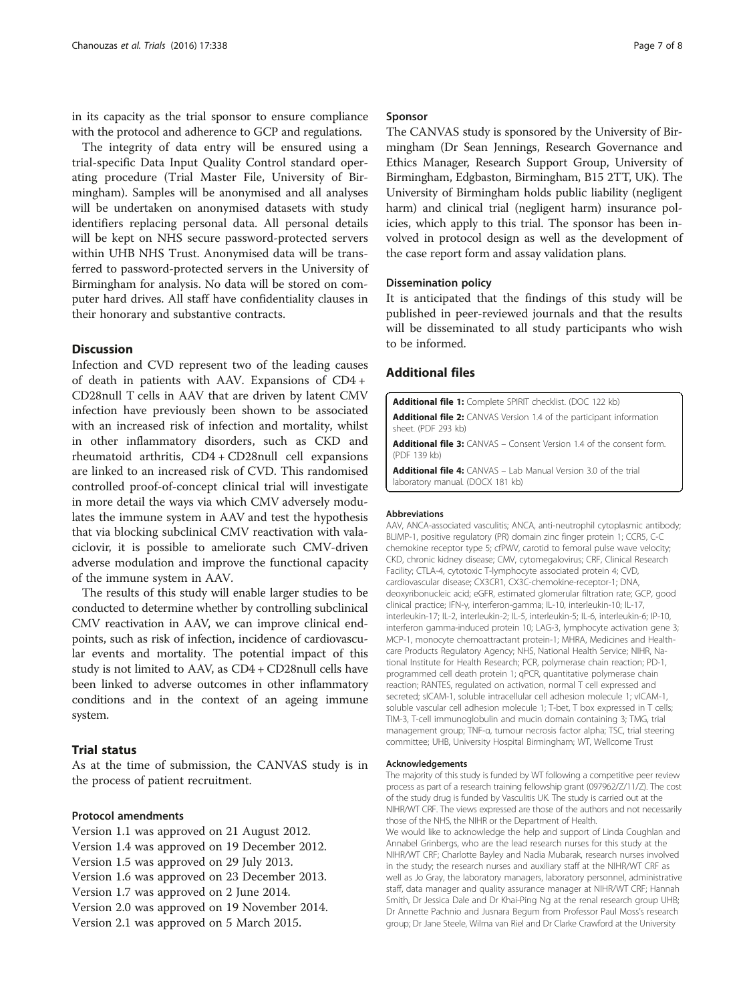<span id="page-6-0"></span>in its capacity as the trial sponsor to ensure compliance with the protocol and adherence to GCP and regulations.

The integrity of data entry will be ensured using a trial-specific Data Input Quality Control standard operating procedure (Trial Master File, University of Birmingham). Samples will be anonymised and all analyses will be undertaken on anonymised datasets with study identifiers replacing personal data. All personal details will be kept on NHS secure password-protected servers within UHB NHS Trust. Anonymised data will be transferred to password-protected servers in the University of Birmingham for analysis. No data will be stored on computer hard drives. All staff have confidentiality clauses in their honorary and substantive contracts.

#### **Discussion**

Infection and CVD represent two of the leading causes of death in patients with AAV. Expansions of CD4 + CD28null T cells in AAV that are driven by latent CMV infection have previously been shown to be associated with an increased risk of infection and mortality, whilst in other inflammatory disorders, such as CKD and rheumatoid arthritis, CD4 + CD28null cell expansions are linked to an increased risk of CVD. This randomised controlled proof-of-concept clinical trial will investigate in more detail the ways via which CMV adversely modulates the immune system in AAV and test the hypothesis that via blocking subclinical CMV reactivation with valaciclovir, it is possible to ameliorate such CMV-driven adverse modulation and improve the functional capacity of the immune system in AAV.

The results of this study will enable larger studies to be conducted to determine whether by controlling subclinical CMV reactivation in AAV, we can improve clinical endpoints, such as risk of infection, incidence of cardiovascular events and mortality. The potential impact of this study is not limited to AAV, as CD4 + CD28null cells have been linked to adverse outcomes in other inflammatory conditions and in the context of an ageing immune system.

## Trial status

As at the time of submission, the CANVAS study is in the process of patient recruitment.

## Protocol amendments

Version 1.1 was approved on 21 August 2012. Version 1.4 was approved on 19 December 2012. Version 1.5 was approved on 29 July 2013. Version 1.6 was approved on 23 December 2013. Version 1.7 was approved on 2 June 2014. Version 2.0 was approved on 19 November 2014. Version 2.1 was approved on 5 March 2015.

#### Sponsor

The CANVAS study is sponsored by the University of Birmingham (Dr Sean Jennings, Research Governance and Ethics Manager, Research Support Group, University of Birmingham, Edgbaston, Birmingham, B15 2TT, UK). The University of Birmingham holds public liability (negligent harm) and clinical trial (negligent harm) insurance policies, which apply to this trial. The sponsor has been involved in protocol design as well as the development of the case report form and assay validation plans.

#### Dissemination policy

It is anticipated that the findings of this study will be published in peer-reviewed journals and that the results will be disseminated to all study participants who wish to be informed.

## Additional files

[Additional file 1:](dx.doi.org/10.1186/s13063-016-1482-2) Complete SPIRIT checklist. (DOC 122 kb)

[Additional file 2:](dx.doi.org/10.1186/s13063-016-1482-2) CANVAS Version 1.4 of the participant information sheet. (PDF 293 kb)

[Additional file 3:](dx.doi.org/10.1186/s13063-016-1482-2) CANVAS – Consent Version 1.4 of the consent form. (PDF 139 kb)

[Additional file 4:](dx.doi.org/10.1186/s13063-016-1482-2) CANVAS – Lab Manual Version 3.0 of the trial laboratory manual. (DOCX 181 kb)

#### Abbreviations

AAV, ANCA-associated vasculitis; ANCA, anti-neutrophil cytoplasmic antibody; BLIMP-1, positive regulatory (PR) domain zinc finger protein 1; CCR5, C-C chemokine receptor type 5; cfPWV, carotid to femoral pulse wave velocity; CKD, chronic kidney disease; CMV, cytomegalovirus; CRF, Clinical Research Facility; CTLA-4, cytotoxic T-lymphocyte associated protein 4; CVD, cardiovascular disease; CX3CR1, CX3C-chemokine-receptor-1; DNA, deoxyribonucleic acid; eGFR, estimated glomerular filtration rate; GCP, good clinical practice; IFN-γ, interferon-gamma; IL-10, interleukin-10; IL-17, interleukin-17; IL-2, interleukin-2; IL-5, interleukin-5; IL-6, interleukin-6; IP-10, interferon gamma-induced protein 10; LAG-3, lymphocyte activation gene 3; MCP-1, monocyte chemoattractant protein-1; MHRA, Medicines and Healthcare Products Regulatory Agency; NHS, National Health Service; NIHR, National Institute for Health Research; PCR, polymerase chain reaction; PD-1, programmed cell death protein 1; qPCR, quantitative polymerase chain reaction; RANTES, regulated on activation, normal T cell expressed and secreted; sICAM-1, soluble intracellular cell adhesion molecule 1; vICAM-1, soluble vascular cell adhesion molecule 1; T-bet, T box expressed in T cells; TIM-3, T-cell immunoglobulin and mucin domain containing 3; TMG, trial management group; TNF-α, tumour necrosis factor alpha; TSC, trial steering committee; UHB, University Hospital Birmingham; WT, Wellcome Trust

#### Acknowledgements

The majority of this study is funded by WT following a competitive peer review process as part of a research training fellowship grant (097962/Z/11/Z). The cost of the study drug is funded by Vasculitis UK. The study is carried out at the NIHR/WT CRF. The views expressed are those of the authors and not necessarily those of the NHS, the NIHR or the Department of Health. We would like to acknowledge the help and support of Linda Coughlan and

Annabel Grinbergs, who are the lead research nurses for this study at the NIHR/WT CRF; Charlotte Bayley and Nadia Mubarak, research nurses involved in the study; the research nurses and auxiliary staff at the NIHR/WT CRF as well as Jo Gray, the laboratory managers, laboratory personnel, administrative staff, data manager and quality assurance manager at NIHR/WT CRF; Hannah Smith, Dr Jessica Dale and Dr Khai-Ping Ng at the renal research group UHB; Dr Annette Pachnio and Jusnara Begum from Professor Paul Moss's research group; Dr Jane Steele, Wilma van Riel and Dr Clarke Crawford at the University